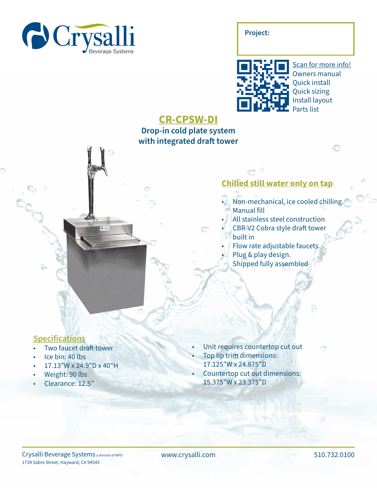

**Project:**



Scan for more info! Owners manual Quick install Quick sizing Install layout Parts list

## **CR-CPSW-DI**

**Drop-in cold plate system with integrated draft tower**

## **Chilled still water only on tap**

• Non-mechanical, ice cooled chilling. Manual fill

B

 $\bigcirc$ 

- All stainless steel construction • CBR-V2 Cobra style draft tower built in
- Flow rate adjustable faucets
- Plug & play design.
- Shipped fully assembled

## **Specifications**

- Two faucet draft tower
- Ice bin: 40 lbs
- 17.13"W x 24.9"D x 40"H
- Weight: 90 lbs
- Clearance: 12.5"
- Unit requires countertop cut out
- Top lip trim dimensions:
- 17.125"W x 24.875"D
- Countertop cut out dimensions: 15.375"W x 23.375"D

www.crysalli.com 510.732.0100